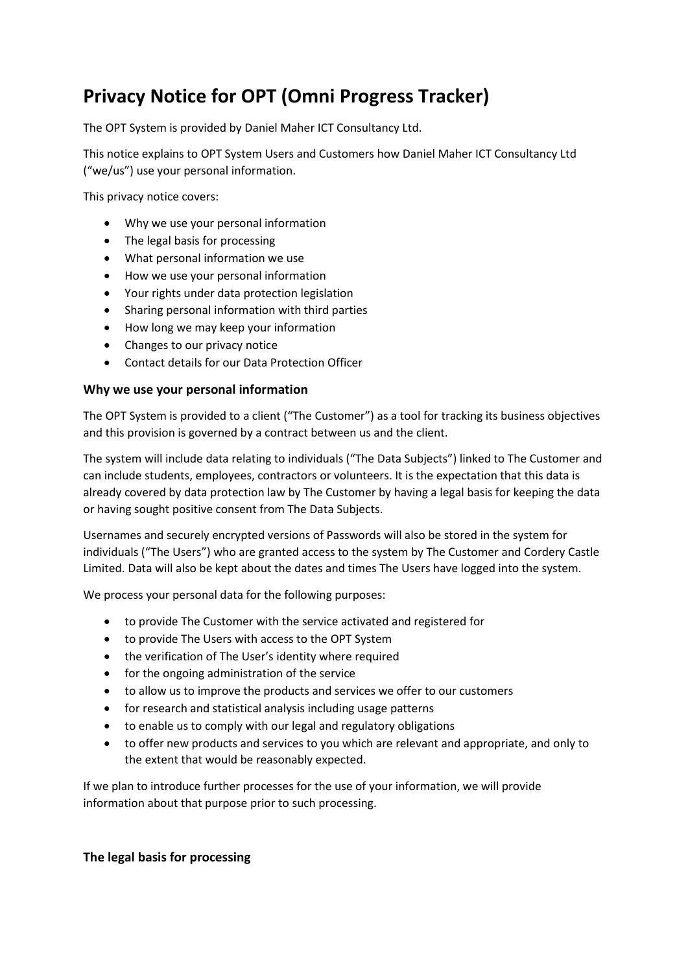# **Privacy Notice for OPT (Omni Progress Tracker)**

The OPT System is provided by Daniel Maher ICT Consultancy Ltd.

This notice explains to OPT System Users and Customers how Daniel Maher ICT Consultancy Ltd ("we/us") use your personal information.

This privacy notice covers:

- Why we use your personal information
- The legal basis for processing
- What personal information we use
- How we use your personal information
- Your rights under data protection legislation
- Sharing personal information with third parties
- How long we may keep your information
- Changes to our privacy notice
- Contact details for our Data Protection Officer

#### **Why we use your personal information**

The OPT System is provided to a client ("The Customer") as a tool for tracking its business objectives and this provision is governed by a contract between us and the client.

The system will include data relating to individuals ("The Data Subjects") linked to The Customer and can include students, employees, contractors or volunteers. It is the expectation that this data is already covered by data protection law by The Customer by having a legal basis for keeping the data or having sought positive consent from The Data Subjects.

Usernames and securely encrypted versions of Passwords will also be stored in the system for individuals ("The Users") who are granted access to the system by The Customer and Cordery Castle Limited. Data will also be kept about the dates and times The Users have logged into the system.

We process your personal data for the following purposes:

- to provide The Customer with the service activated and registered for
- to provide The Users with access to the OPT System
- the verification of The User's identity where required
- for the ongoing administration of the service
- to allow us to improve the products and services we offer to our customers
- for research and statistical analysis including usage patterns
- to enable us to comply with our legal and regulatory obligations
- to offer new products and services to you which are relevant and appropriate, and only to the extent that would be reasonably expected.

If we plan to introduce further processes for the use of your information, we will provide information about that purpose prior to such processing.

#### **The legal basis for processing**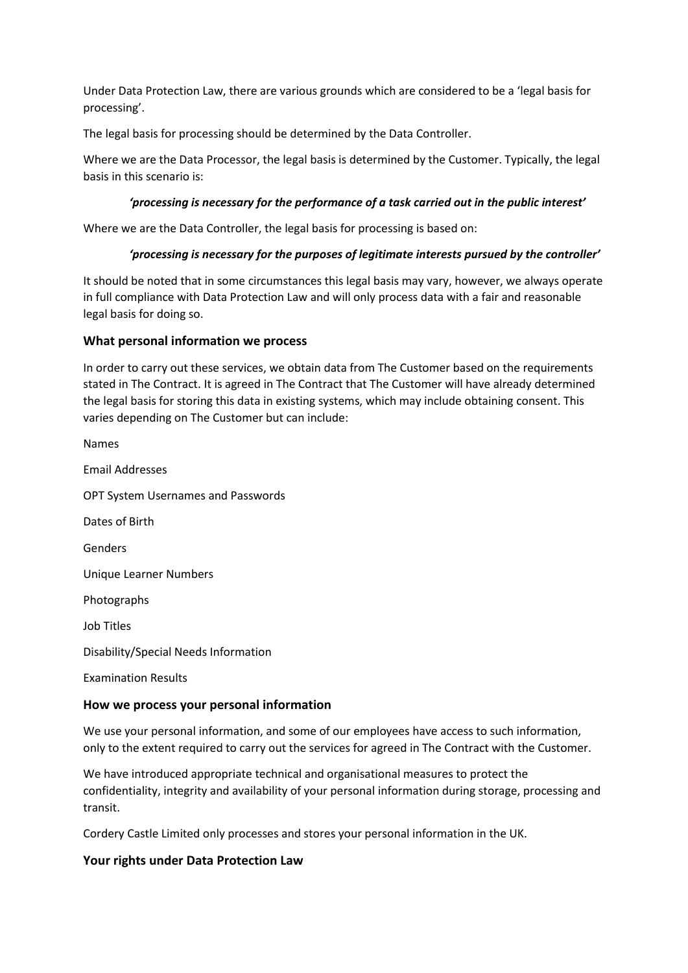Under Data Protection Law, there are various grounds which are considered to be a 'legal basis for processing'.

The legal basis for processing should be determined by the Data Controller.

Where we are the Data Processor, the legal basis is determined by the Customer. Typically, the legal basis in this scenario is:

#### *'processing is necessary for the performance of a task carried out in the public interest'*

Where we are the Data Controller, the legal basis for processing is based on:

#### *'processing is necessary for the purposes of legitimate interests pursued by the controller'*

It should be noted that in some circumstances this legal basis may vary, however, we always operate in full compliance with Data Protection Law and will only process data with a fair and reasonable legal basis for doing so.

#### **What personal information we process**

In order to carry out these services, we obtain data from The Customer based on the requirements stated in The Contract. It is agreed in The Contract that The Customer will have already determined the legal basis for storing this data in existing systems, which may include obtaining consent. This varies depending on The Customer but can include:

| How we process your personal information  |
|-------------------------------------------|
| <b>Examination Results</b>                |
| Disability/Special Needs Information      |
| Job Titles                                |
| Photographs                               |
| Unique Learner Numbers                    |
| Genders                                   |
| Dates of Birth                            |
| <b>OPT System Usernames and Passwords</b> |
| Email Addresses                           |
| <b>Names</b>                              |

We use your personal information, and some of our employees have access to such information, only to the extent required to carry out the services for agreed in The Contract with the Customer.

We have introduced appropriate technical and organisational measures to protect the confidentiality, integrity and availability of your personal information during storage, processing and transit.

Cordery Castle Limited only processes and stores your personal information in the UK.

#### **Your rights under Data Protection Law**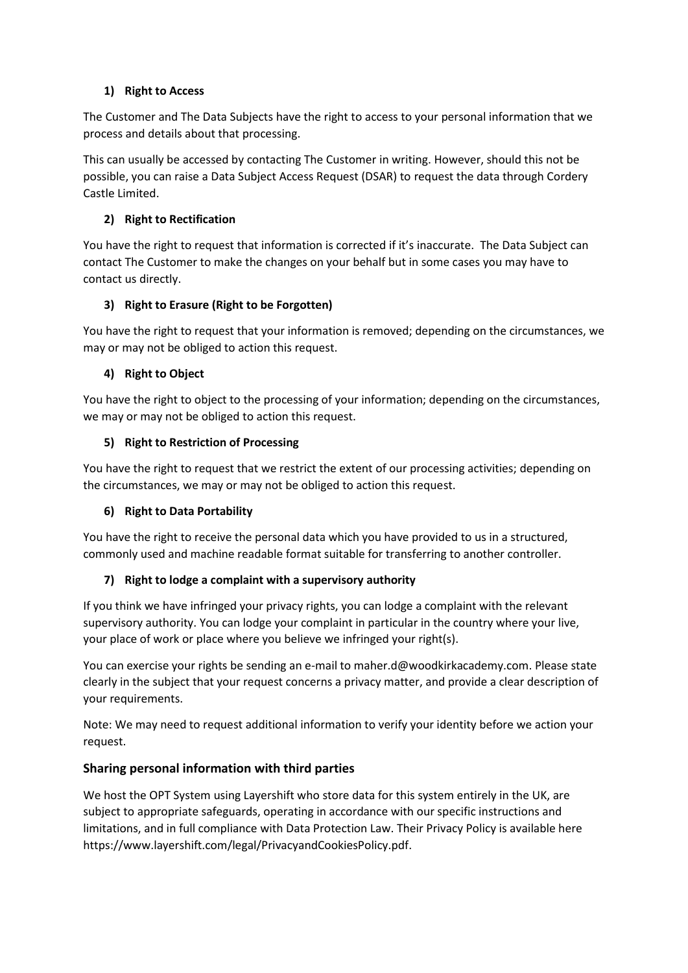## **1) Right to Access**

The Customer and The Data Subjects have the right to access to your personal information that we process and details about that processing.

This can usually be accessed by contacting The Customer in writing. However, should this not be possible, you can raise a Data Subject Access Request (DSAR) to request the data through Cordery Castle Limited.

## **2) Right to Rectification**

You have the right to request that information is corrected if it's inaccurate. The Data Subject can contact The Customer to make the changes on your behalf but in some cases you may have to contact us directly.

## **3) Right to Erasure (Right to be Forgotten)**

You have the right to request that your information is removed; depending on the circumstances, we may or may not be obliged to action this request.

## **4) Right to Object**

You have the right to object to the processing of your information; depending on the circumstances, we may or may not be obliged to action this request.

## **5) Right to Restriction of Processing**

You have the right to request that we restrict the extent of our processing activities; depending on the circumstances, we may or may not be obliged to action this request.

# **6) Right to Data Portability**

You have the right to receive the personal data which you have provided to us in a structured, commonly used and machine readable format suitable for transferring to another controller.

# **7) Right to lodge a complaint with a supervisory authority**

If you think we have infringed your privacy rights, you can lodge a complaint with the relevant supervisory authority. You can lodge your complaint in particular in the country where your live, your place of work or place where you believe we infringed your right(s).

You can exercise your rights be sending an e-mail to maher.d@woodkirkacademy.com. Please state clearly in the subject that your request concerns a privacy matter, and provide a clear description of your requirements.

Note: We may need to request additional information to verify your identity before we action your request.

# **Sharing personal information with third parties**

We host the OPT System using Layershift who store data for this system entirely in the UK, are subject to appropriate safeguards, operating in accordance with our specific instructions and limitations, and in full compliance with Data Protection Law. Their Privacy Policy is available here https://www.layershift.com/legal/PrivacyandCookiesPolicy.pdf.